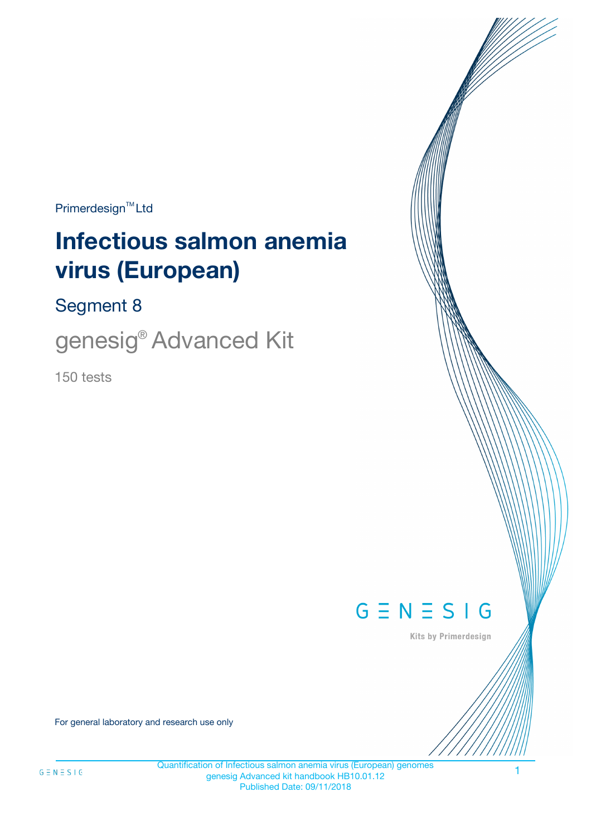$Primerdesign^{\text{TM}}Ltd$ 

# **Infectious salmon anemia virus (European)**

Segment 8

genesig® Advanced Kit

150 tests



Kits by Primerdesign

For general laboratory and research use only

1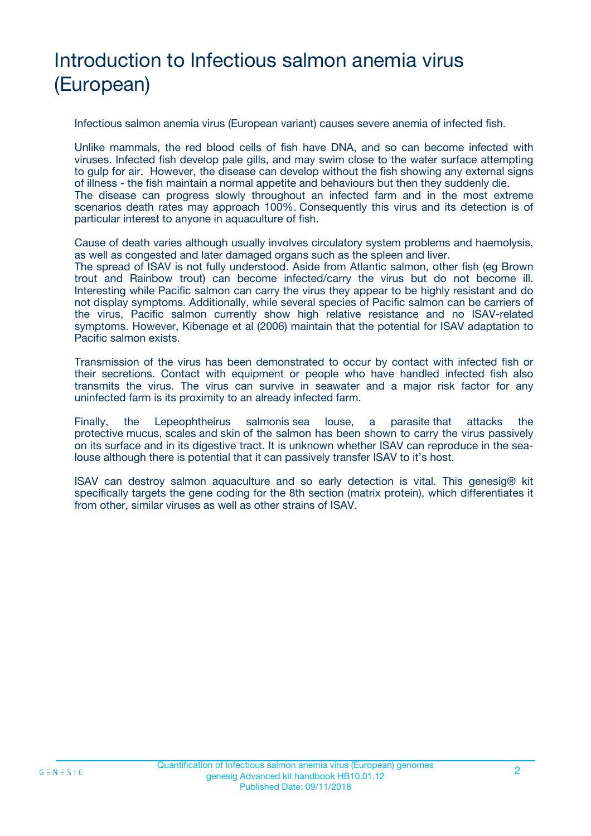# Introduction to Infectious salmon anemia virus (European)

Infectious salmon anemia virus (European variant) causes severe anemia of infected fish.

Unlike mammals, the red blood cells of fish have DNA, and so can become infected with viruses. Infected fish develop pale gills, and may swim close to the water surface attempting to gulp for air. However, the disease can develop without the fish showing any external signs of illness - the fish maintain a normal appetite and behaviours but then they suddenly die. The disease can progress slowly throughout an infected farm and in the most extreme scenarios death rates may approach 100%. Consequently this virus and its detection is of particular interest to anyone in aquaculture of fish.

Cause of death varies although usually involves circulatory system problems and haemolysis, as well as congested and later damaged organs such as the spleen and liver.

The spread of ISAV is not fully understood. Aside from Atlantic salmon, other fish (eg Brown trout and Rainbow trout) can become infected/carry the virus but do not become ill. Interesting while Pacific salmon can carry the virus they appear to be highly resistant and do not display symptoms. Additionally, while several species of Pacific salmon can be carriers of the virus, Pacific salmon currently show high relative resistance and no ISAV-related symptoms. However, Kibenage et al (2006) maintain that the potential for ISAV adaptation to Pacific salmon exists.

Transmission of the virus has been demonstrated to occur by contact with infected fish or their secretions. Contact with equipment or people who have handled infected fish also transmits the virus. The virus can survive in seawater and a major risk factor for any uninfected farm is its proximity to an already infected farm.

Finally, the Lepeophtheirus salmonis sea louse, a parasite that attacks the protective mucus, scales and skin of the salmon has been shown to carry the virus passively on its surface and in its digestive tract. It is unknown whether ISAV can reproduce in the sealouse although there is potential that it can passively transfer ISAV to it's host.

ISAV can destroy salmon aquaculture and so early detection is vital. This genesig® kit specifically targets the gene coding for the 8th section (matrix protein), which differentiates it from other, similar viruses as well as other strains of ISAV.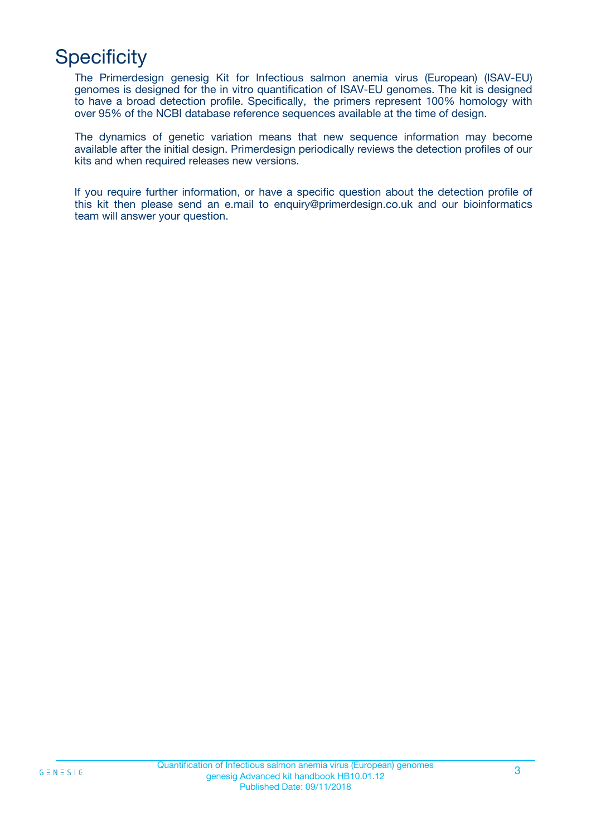## **Specificity**

The Primerdesign genesig Kit for Infectious salmon anemia virus (European) (ISAV-EU) genomes is designed for the in vitro quantification of ISAV-EU genomes. The kit is designed to have a broad detection profile. Specifically, the primers represent 100% homology with over 95% of the NCBI database reference sequences available at the time of design.

The dynamics of genetic variation means that new sequence information may become available after the initial design. Primerdesign periodically reviews the detection profiles of our kits and when required releases new versions.

If you require further information, or have a specific question about the detection profile of this kit then please send an e.mail to enquiry@primerdesign.co.uk and our bioinformatics team will answer your question.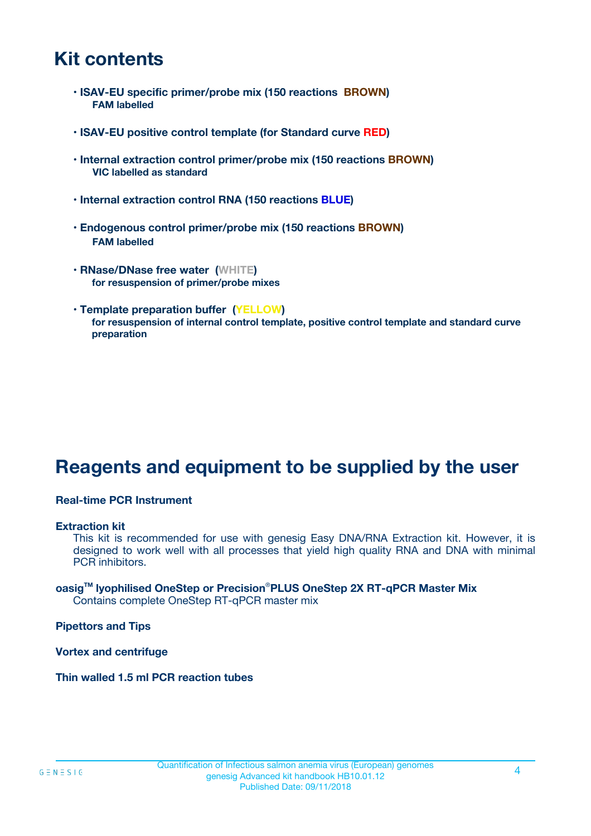### **Kit contents**

- **ISAV-EU specific primer/probe mix (150 reactions BROWN) FAM labelled**
- **ISAV-EU positive control template (for Standard curve RED)**
- **Internal extraction control primer/probe mix (150 reactions BROWN) VIC labelled as standard**
- **Internal extraction control RNA (150 reactions BLUE)**
- **Endogenous control primer/probe mix (150 reactions BROWN) FAM labelled**
- **RNase/DNase free water (WHITE) for resuspension of primer/probe mixes**
- **Template preparation buffer (YELLOW) for resuspension of internal control template, positive control template and standard curve preparation**

### **Reagents and equipment to be supplied by the user**

#### **Real-time PCR Instrument**

#### **Extraction kit**

This kit is recommended for use with genesig Easy DNA/RNA Extraction kit. However, it is designed to work well with all processes that yield high quality RNA and DNA with minimal PCR inhibitors.

#### **oasigTM lyophilised OneStep or Precision**®**PLUS OneStep 2X RT-qPCR Master Mix** Contains complete OneStep RT-qPCR master mix

**Pipettors and Tips**

**Vortex and centrifuge**

**Thin walled 1.5 ml PCR reaction tubes**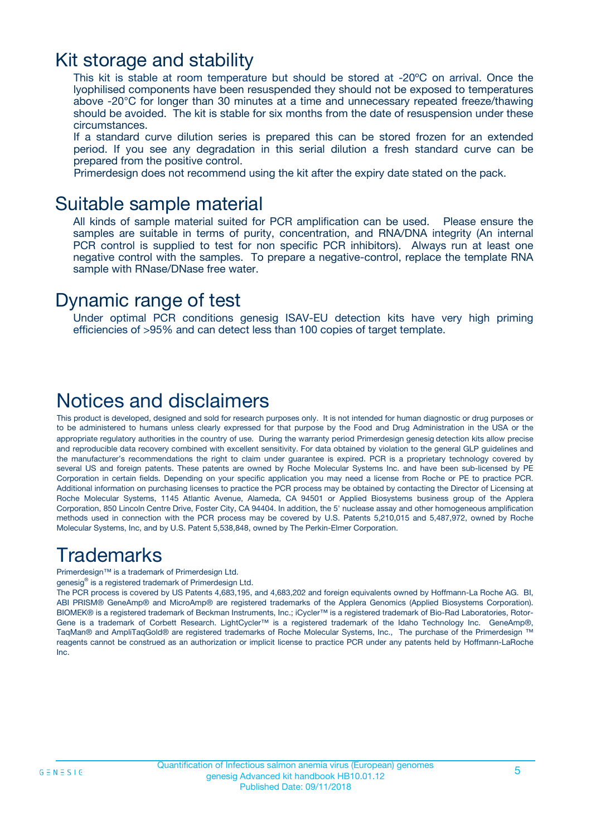### Kit storage and stability

This kit is stable at room temperature but should be stored at -20ºC on arrival. Once the lyophilised components have been resuspended they should not be exposed to temperatures above -20°C for longer than 30 minutes at a time and unnecessary repeated freeze/thawing should be avoided. The kit is stable for six months from the date of resuspension under these circumstances.

If a standard curve dilution series is prepared this can be stored frozen for an extended period. If you see any degradation in this serial dilution a fresh standard curve can be prepared from the positive control.

Primerdesign does not recommend using the kit after the expiry date stated on the pack.

### Suitable sample material

All kinds of sample material suited for PCR amplification can be used. Please ensure the samples are suitable in terms of purity, concentration, and RNA/DNA integrity (An internal PCR control is supplied to test for non specific PCR inhibitors). Always run at least one negative control with the samples. To prepare a negative-control, replace the template RNA sample with RNase/DNase free water.

### Dynamic range of test

Under optimal PCR conditions genesig ISAV-EU detection kits have very high priming efficiencies of >95% and can detect less than 100 copies of target template.

### Notices and disclaimers

This product is developed, designed and sold for research purposes only. It is not intended for human diagnostic or drug purposes or to be administered to humans unless clearly expressed for that purpose by the Food and Drug Administration in the USA or the appropriate regulatory authorities in the country of use. During the warranty period Primerdesign genesig detection kits allow precise and reproducible data recovery combined with excellent sensitivity. For data obtained by violation to the general GLP guidelines and the manufacturer's recommendations the right to claim under guarantee is expired. PCR is a proprietary technology covered by several US and foreign patents. These patents are owned by Roche Molecular Systems Inc. and have been sub-licensed by PE Corporation in certain fields. Depending on your specific application you may need a license from Roche or PE to practice PCR. Additional information on purchasing licenses to practice the PCR process may be obtained by contacting the Director of Licensing at Roche Molecular Systems, 1145 Atlantic Avenue, Alameda, CA 94501 or Applied Biosystems business group of the Applera Corporation, 850 Lincoln Centre Drive, Foster City, CA 94404. In addition, the 5' nuclease assay and other homogeneous amplification methods used in connection with the PCR process may be covered by U.S. Patents 5,210,015 and 5,487,972, owned by Roche Molecular Systems, Inc, and by U.S. Patent 5,538,848, owned by The Perkin-Elmer Corporation.

### Trademarks

Primerdesign™ is a trademark of Primerdesign Ltd.

genesig® is a registered trademark of Primerdesign Ltd.

The PCR process is covered by US Patents 4,683,195, and 4,683,202 and foreign equivalents owned by Hoffmann-La Roche AG. BI, ABI PRISM® GeneAmp® and MicroAmp® are registered trademarks of the Applera Genomics (Applied Biosystems Corporation). BIOMEK® is a registered trademark of Beckman Instruments, Inc.; iCycler™ is a registered trademark of Bio-Rad Laboratories, Rotor-Gene is a trademark of Corbett Research. LightCycler™ is a registered trademark of the Idaho Technology Inc. GeneAmp®, TaqMan® and AmpliTaqGold® are registered trademarks of Roche Molecular Systems, Inc., The purchase of the Primerdesign ™ reagents cannot be construed as an authorization or implicit license to practice PCR under any patents held by Hoffmann-LaRoche Inc.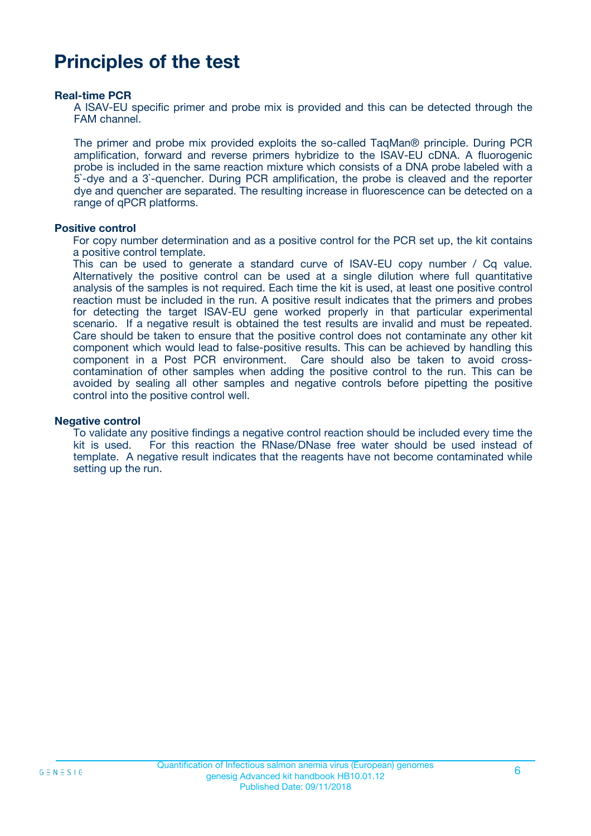### **Principles of the test**

#### **Real-time PCR**

A ISAV-EU specific primer and probe mix is provided and this can be detected through the FAM channel.

The primer and probe mix provided exploits the so-called TaqMan® principle. During PCR amplification, forward and reverse primers hybridize to the ISAV-EU cDNA. A fluorogenic probe is included in the same reaction mixture which consists of a DNA probe labeled with a 5`-dye and a 3`-quencher. During PCR amplification, the probe is cleaved and the reporter dye and quencher are separated. The resulting increase in fluorescence can be detected on a range of qPCR platforms.

#### **Positive control**

For copy number determination and as a positive control for the PCR set up, the kit contains a positive control template.

This can be used to generate a standard curve of ISAV-EU copy number / Cq value. Alternatively the positive control can be used at a single dilution where full quantitative analysis of the samples is not required. Each time the kit is used, at least one positive control reaction must be included in the run. A positive result indicates that the primers and probes for detecting the target ISAV-EU gene worked properly in that particular experimental scenario. If a negative result is obtained the test results are invalid and must be repeated. Care should be taken to ensure that the positive control does not contaminate any other kit component which would lead to false-positive results. This can be achieved by handling this component in a Post PCR environment. Care should also be taken to avoid crosscontamination of other samples when adding the positive control to the run. This can be avoided by sealing all other samples and negative controls before pipetting the positive control into the positive control well.

#### **Negative control**

To validate any positive findings a negative control reaction should be included every time the kit is used. For this reaction the RNase/DNase free water should be used instead of template. A negative result indicates that the reagents have not become contaminated while setting up the run.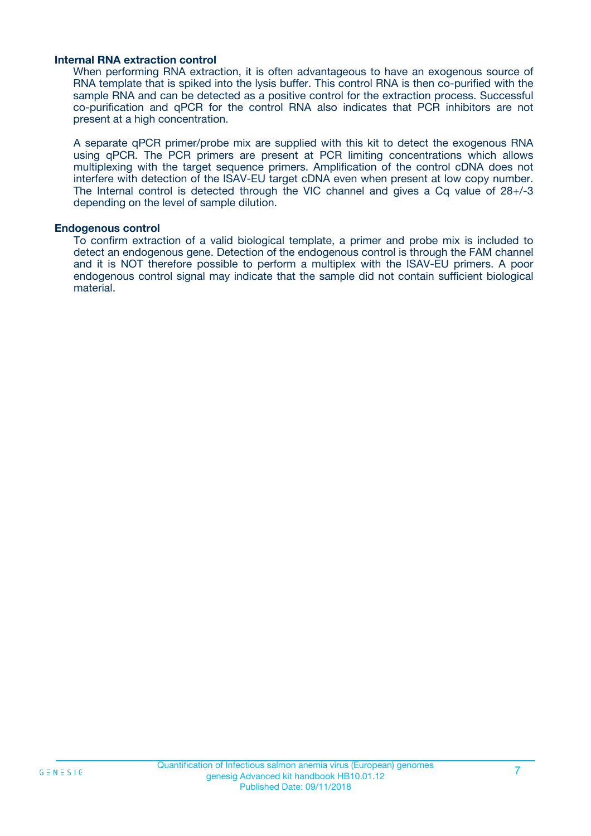#### **Internal RNA extraction control**

When performing RNA extraction, it is often advantageous to have an exogenous source of RNA template that is spiked into the lysis buffer. This control RNA is then co-purified with the sample RNA and can be detected as a positive control for the extraction process. Successful co-purification and qPCR for the control RNA also indicates that PCR inhibitors are not present at a high concentration.

A separate qPCR primer/probe mix are supplied with this kit to detect the exogenous RNA using qPCR. The PCR primers are present at PCR limiting concentrations which allows multiplexing with the target sequence primers. Amplification of the control cDNA does not interfere with detection of the ISAV-EU target cDNA even when present at low copy number. The Internal control is detected through the VIC channel and gives a Cq value of 28+/-3 depending on the level of sample dilution.

#### **Endogenous control**

To confirm extraction of a valid biological template, a primer and probe mix is included to detect an endogenous gene. Detection of the endogenous control is through the FAM channel and it is NOT therefore possible to perform a multiplex with the ISAV-EU primers. A poor endogenous control signal may indicate that the sample did not contain sufficient biological material.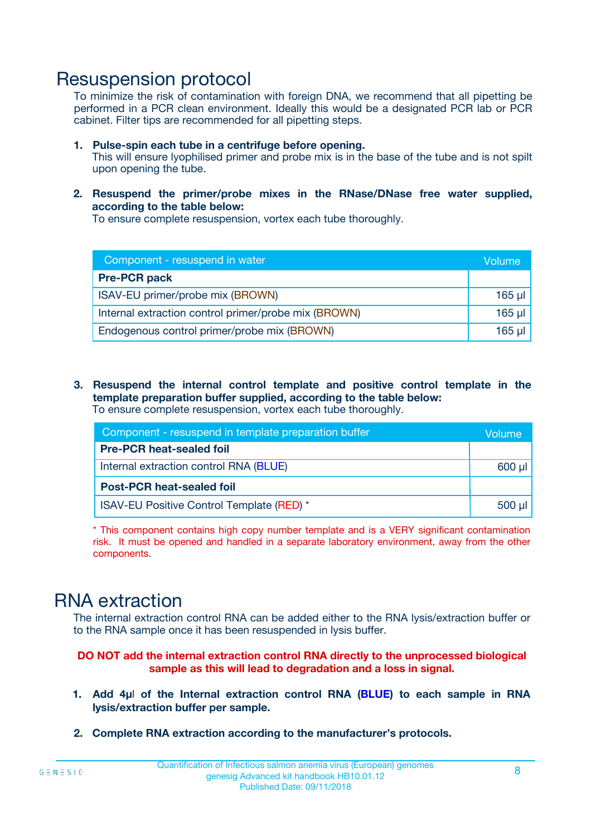### Resuspension protocol

To minimize the risk of contamination with foreign DNA, we recommend that all pipetting be performed in a PCR clean environment. Ideally this would be a designated PCR lab or PCR cabinet. Filter tips are recommended for all pipetting steps.

- **1. Pulse-spin each tube in a centrifuge before opening.** This will ensure lyophilised primer and probe mix is in the base of the tube and is not spilt upon opening the tube.
- **2. Resuspend the primer/probe mixes in the RNase/DNase free water supplied, according to the table below:**

To ensure complete resuspension, vortex each tube thoroughly.

| Component - resuspend in water                       |          |  |
|------------------------------------------------------|----------|--|
| <b>Pre-PCR pack</b>                                  |          |  |
| ISAV-EU primer/probe mix (BROWN)                     | $165$ µl |  |
| Internal extraction control primer/probe mix (BROWN) | $165$ µl |  |
| Endogenous control primer/probe mix (BROWN)          | 165 µl   |  |

**3. Resuspend the internal control template and positive control template in the template preparation buffer supplied, according to the table below:** To ensure complete resuspension, vortex each tube thoroughly.

| Component - resuspend in template preparation buffer |             |  |  |
|------------------------------------------------------|-------------|--|--|
| <b>Pre-PCR heat-sealed foil</b>                      |             |  |  |
| Internal extraction control RNA (BLUE)               |             |  |  |
| <b>Post-PCR heat-sealed foil</b>                     |             |  |  |
| ISAV-EU Positive Control Template (RED) *            | $500$ $\mu$ |  |  |

\* This component contains high copy number template and is a VERY significant contamination risk. It must be opened and handled in a separate laboratory environment, away from the other components.

### RNA extraction

The internal extraction control RNA can be added either to the RNA lysis/extraction buffer or to the RNA sample once it has been resuspended in lysis buffer.

**DO NOT add the internal extraction control RNA directly to the unprocessed biological sample as this will lead to degradation and a loss in signal.**

- **1. Add 4µ**l **of the Internal extraction control RNA (BLUE) to each sample in RNA lysis/extraction buffer per sample.**
- **2. Complete RNA extraction according to the manufacturer's protocols.**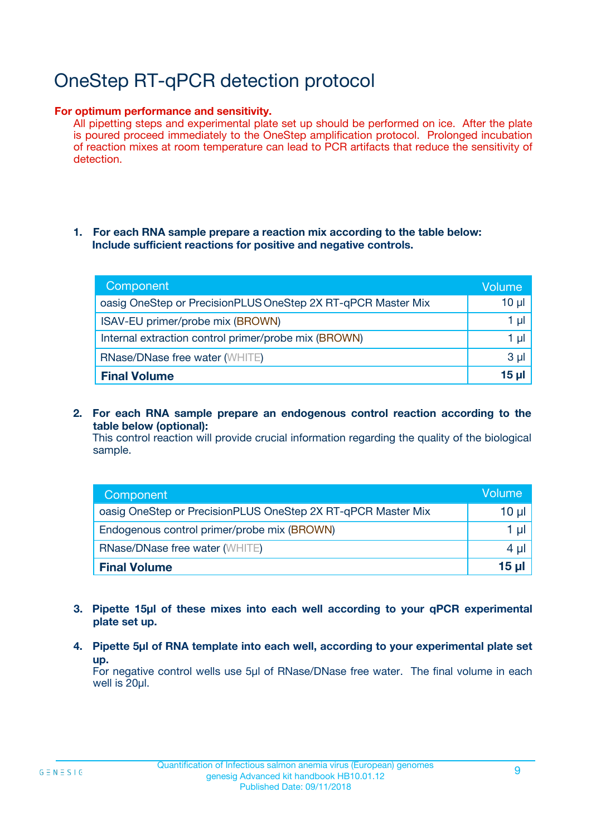# OneStep RT-qPCR detection protocol

#### **For optimum performance and sensitivity.**

All pipetting steps and experimental plate set up should be performed on ice. After the plate is poured proceed immediately to the OneStep amplification protocol. Prolonged incubation of reaction mixes at room temperature can lead to PCR artifacts that reduce the sensitivity of detection.

#### **1. For each RNA sample prepare a reaction mix according to the table below: Include sufficient reactions for positive and negative controls.**

| Component                                                    | <b>Volume</b> |
|--------------------------------------------------------------|---------------|
| oasig OneStep or PrecisionPLUS OneStep 2X RT-qPCR Master Mix | $10 \mu$      |
| ISAV-EU primer/probe mix (BROWN)                             | 1 µI          |
| Internal extraction control primer/probe mix (BROWN)         | 1 µI          |
| <b>RNase/DNase free water (WHITE)</b>                        | $3 \mu$       |
| <b>Final Volume</b>                                          | 15 µl         |

**2. For each RNA sample prepare an endogenous control reaction according to the table below (optional):**

This control reaction will provide crucial information regarding the quality of the biological sample.

| Component                                                    | Volume   |
|--------------------------------------------------------------|----------|
| oasig OneStep or PrecisionPLUS OneStep 2X RT-qPCR Master Mix | 10 $\mu$ |
| Endogenous control primer/probe mix (BROWN)                  | 1 ul     |
| <b>RNase/DNase free water (WHITE)</b>                        | $4 \mu$  |
| <b>Final Volume</b>                                          | 15 µl    |

- **3. Pipette 15µl of these mixes into each well according to your qPCR experimental plate set up.**
- **4. Pipette 5µl of RNA template into each well, according to your experimental plate set up.**

For negative control wells use 5µl of RNase/DNase free water. The final volume in each well is 20µl.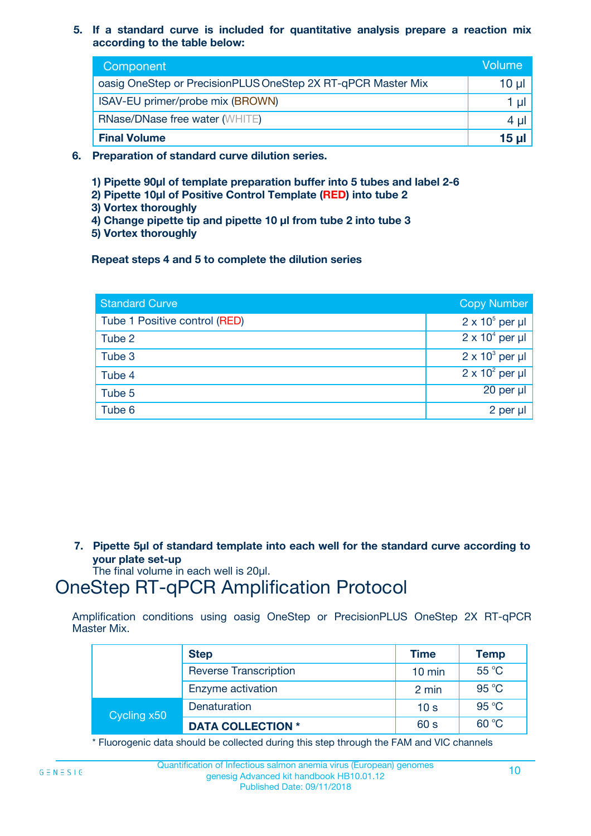**5. If a standard curve is included for quantitative analysis prepare a reaction mix according to the table below:**

| Component                                                    | Volume       |
|--------------------------------------------------------------|--------------|
| oasig OneStep or PrecisionPLUS OneStep 2X RT-qPCR Master Mix | $10 \mu$     |
| ISAV-EU primer/probe mix (BROWN)                             |              |
| <b>RNase/DNase free water (WHITE)</b>                        | 4 µl         |
| <b>Final Volume</b>                                          | <u>15 µl</u> |

- **6. Preparation of standard curve dilution series.**
	- **1) Pipette 90µl of template preparation buffer into 5 tubes and label 2-6**
	- **2) Pipette 10µl of Positive Control Template (RED) into tube 2**
	- **3) Vortex thoroughly**
	- **4) Change pipette tip and pipette 10 µl from tube 2 into tube 3**
	- **5) Vortex thoroughly**

**Repeat steps 4 and 5 to complete the dilution series**

| <b>Standard Curve</b>         | <b>Copy Number</b>     |
|-------------------------------|------------------------|
| Tube 1 Positive control (RED) | $2 \times 10^5$ per µl |
| Tube 2                        | $2 \times 10^4$ per µl |
| Tube 3                        | $2 \times 10^3$ per µl |
| Tube 4                        | $2 \times 10^2$ per µl |
| Tube 5                        | 20 per µl              |
| Tube 6                        | 2 per µl               |

**7. Pipette 5µl of standard template into each well for the standard curve according to your plate set-up**

The final volume in each well is 20µl.

### OneStep RT-qPCR Amplification Protocol

Amplification conditions using oasig OneStep or PrecisionPLUS OneStep 2X RT-qPCR Master Mix.

|             | <b>Step</b>                  | <b>Time</b>      | <b>Temp</b> |
|-------------|------------------------------|------------------|-------------|
|             | <b>Reverse Transcription</b> | $10 \text{ min}$ | 55 °C       |
|             | Enzyme activation            | 2 min            | 95 °C       |
| Cycling x50 | Denaturation                 | 10 <sub>s</sub>  | 95 °C       |
|             | <b>DATA COLLECTION *</b>     | 60 s             | 60 °C       |

\* Fluorogenic data should be collected during this step through the FAM and VIC channels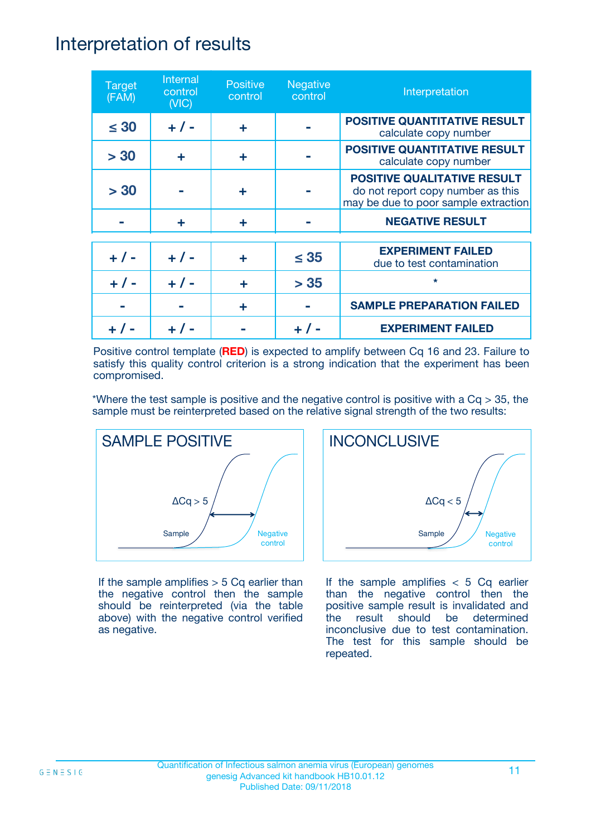### Interpretation of results

| <b>Target</b><br>(FAM) | Internal<br>control<br>(NIC) | <b>Positive</b><br>control | <b>Negative</b><br>control | Interpretation                                                                                                  |
|------------------------|------------------------------|----------------------------|----------------------------|-----------------------------------------------------------------------------------------------------------------|
| $\leq 30$              | $+ 1 -$                      | ÷                          |                            | <b>POSITIVE QUANTITATIVE RESULT</b><br>calculate copy number                                                    |
| > 30                   | ÷                            | ÷                          |                            | POSITIVE QUANTITATIVE RESULT<br>calculate copy number                                                           |
| > 30                   |                              | ÷                          |                            | <b>POSITIVE QUALITATIVE RESULT</b><br>do not report copy number as this<br>may be due to poor sample extraction |
|                        | ÷                            | ÷                          |                            | <b>NEGATIVE RESULT</b>                                                                                          |
| $+ 1 -$                | $+ 1 -$                      | ÷                          | $\leq$ 35                  | <b>EXPERIMENT FAILED</b><br>due to test contamination                                                           |
| $+$ /                  | $+ 1 -$                      | ÷                          | > 35                       | $\star$                                                                                                         |
|                        |                              | ÷                          |                            | <b>SAMPLE PREPARATION FAILED</b>                                                                                |
|                        |                              |                            |                            | <b>EXPERIMENT FAILED</b>                                                                                        |

Positive control template (**RED**) is expected to amplify between Cq 16 and 23. Failure to satisfy this quality control criterion is a strong indication that the experiment has been compromised.

\*Where the test sample is positive and the negative control is positive with a  $Cq > 35$ , the sample must be reinterpreted based on the relative signal strength of the two results:



If the sample amplifies  $> 5$  Cq earlier than the negative control then the sample should be reinterpreted (via the table above) with the negative control verified as negative.



If the sample amplifies  $< 5$  Cq earlier than the negative control then the positive sample result is invalidated and the result should be determined inconclusive due to test contamination. The test for this sample should be repeated.